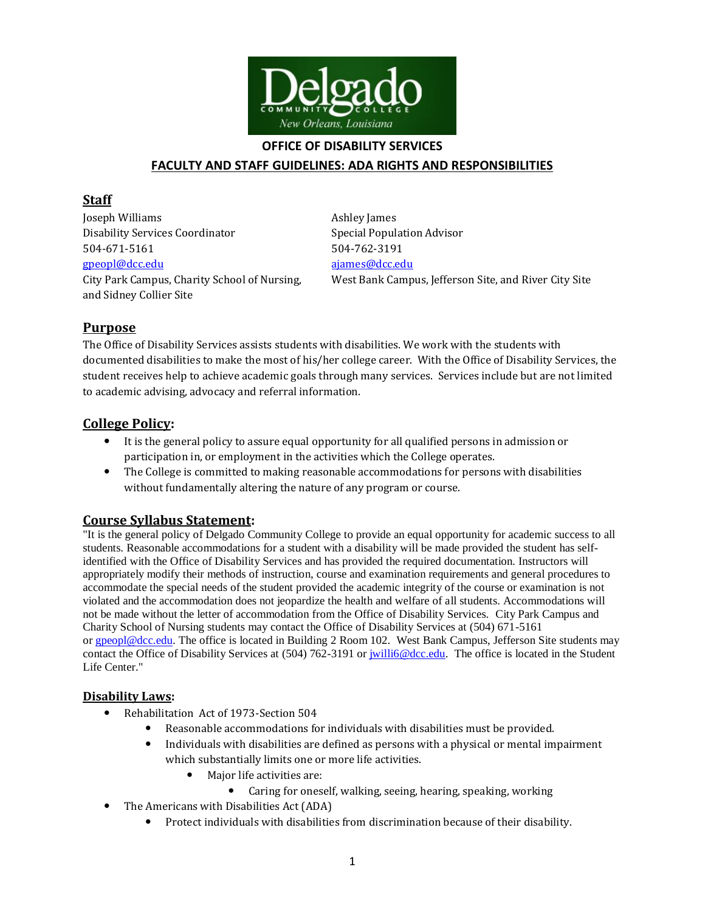

### **OFFICE OF DISABILITY SERVICES**

## **FACULTY AND STAFF GUIDELINES: ADA RIGHTS AND RESPONSIBILITIES**

## **Staff**

**Joseph Williams Ashley James** Disability Services Coordinator Special Population Advisor 504-671-5161 504-762-3191 [gpeopl@dcc.edu](mailto:gpeopl@dcc.edu) [ajames@dcc.edu](mailto:ajames@dcc.edu) and Sidney Collier Site

City Park Campus, Charity School of Nursing, West Bank Campus, Jefferson Site, and River City Site

# **Purpose**

The Office of Disability Services assists students with disabilities. We work with the students with documented disabilities to make the most of his/her college career. With the Office of Disability Services, the student receives help to achieve academic goals through many services. Services include but are not limited to academic advising, advocacy and referral information.

# **College Policy:**

- It is the general policy to assure equal opportunity for all qualified persons in admission or participation in, or employment in the activities which the College operates.
- The College is committed to making reasonable accommodations for persons with disabilities without fundamentally altering the nature of any program or course.

## **Course Syllabus Statement:**

"It is the general policy of Delgado Community College to provide an equal opportunity for academic success to all students. Reasonable accommodations for a student with a disability will be made provided the student has selfidentified with the Office of Disability Services and has provided the required documentation. Instructors will appropriately modify their methods of instruction, course and examination requirements and general procedures to accommodate the special needs of the student provided the academic integrity of the course or examination is not violated and the accommodation does not jeopardize the health and welfare of all students. Accommodations will not be made without the letter of accommodation from the Office of Disability Services. City Park Campus and Charity School of Nursing students may contact the Office of Disability Services at (504) 671-5161 or [gpeopl@dcc.edu.](mailto:gpeopl@dcc.edu) The office is located in Building 2 Room 102. West Bank Campus, Jefferson Site students may contact the Office of Disability Services at (504) 762-3191 or [jwilli6@dcc.edu.](mailto:jwilli6@dcc.edu) The office is located in the Student Life Center."

## **Disability Laws:**

- Rehabilitation Act of 1973-Section 504
	- Reasonable accommodations for individuals with disabilities must be provided.
	- Individuals with disabilities are defined as persons with a physical or mental impairment which substantially limits one or more life activities.
		- Major life activities are:
			- Caring for oneself, walking, seeing, hearing, speaking, working
- The Americans with Disabilities Act (ADA)
	- Protect individuals with disabilities from discrimination because of their disability.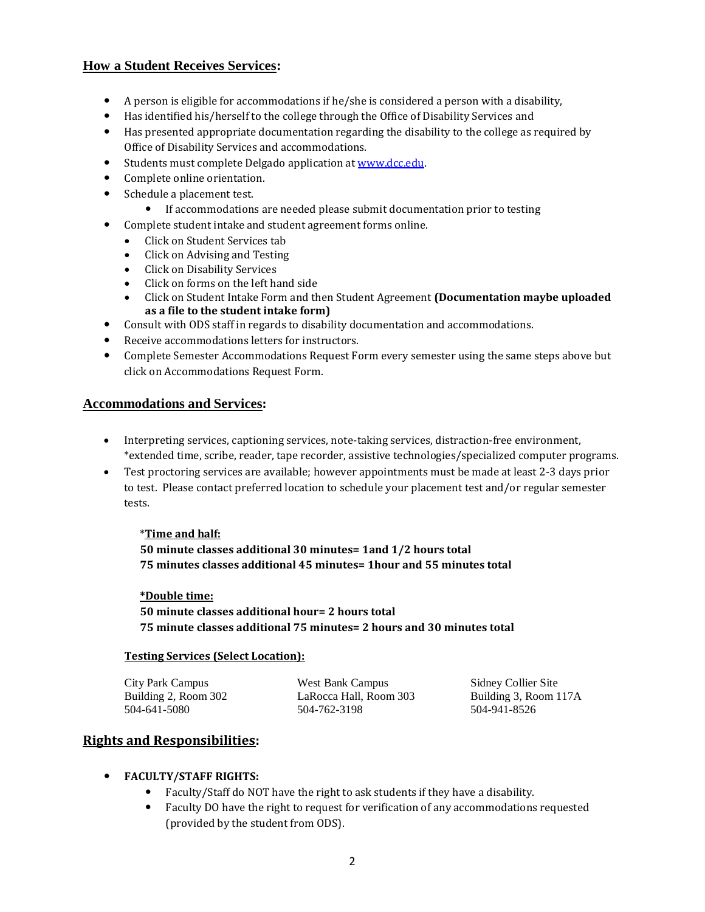## **How a Student Receives Services:**

- A person is eligible for accommodations if he/she is considered a person with a disability,
- Has identified his/herself to the college through the Office of Disability Services and
- Has presented appropriate documentation regarding the disability to the college as required by Office of Disability Services and accommodations.
- Students must complete Delgado application a[t www.dcc.edu.](http://www.dcc.edu/)
- Complete online orientation.
- Schedule a placement test.
	- If accommodations are needed please submit documentation prior to testing
- Complete student intake and student agreement forms online.
	- Click on Student Services tab
	- Click on Advising and Testing
	- Click on Disability Services
	- Click on forms on the left hand side
	- Click on Student Intake Form and then Student Agreement **(Documentation maybe uploaded as a file to the student intake form)**
- Consult with ODS staff in regards to disability documentation and accommodations.
- Receive accommodations letters for instructors.
- Complete Semester Accommodations Request Form every semester using the same steps above but click on Accommodations Request Form.

#### **Accommodations and Services:**

- Interpreting services, captioning services, note-taking services, distraction-free environment, \*extended time, scribe, reader, tape recorder, assistive technologies/specialized computer programs.
- Test proctoring services are available; however appointments must be made at least 2-3 days prior to test. Please contact preferred location to schedule your placement test and/or regular semester tests.

#### \***Time and half:**

**50 minute classes additional 30 minutes= 1and 1/2 hours total 75 minutes classes additional 45 minutes= 1hour and 55 minutes total**

#### **\*Double time:**

**50 minute classes additional hour= 2 hours total 75 minute classes additional 75 minutes= 2 hours and 30 minutes total**

#### **Testing Services (Select Location):**

City Park Campus Building 2, Room 302 504-641-5080

West Bank Campus LaRocca Hall, Room 303 504-762-3198

Sidney Collier Site Building 3, Room 117A 504-941-8526

## **Rights and Responsibilities:**

### **FACULTY/STAFF RIGHTS:**

- Faculty/Staff do NOT have the right to ask students if they have a disability.
- Faculty DO have the right to request for verification of any accommodations requested (provided by the student from ODS).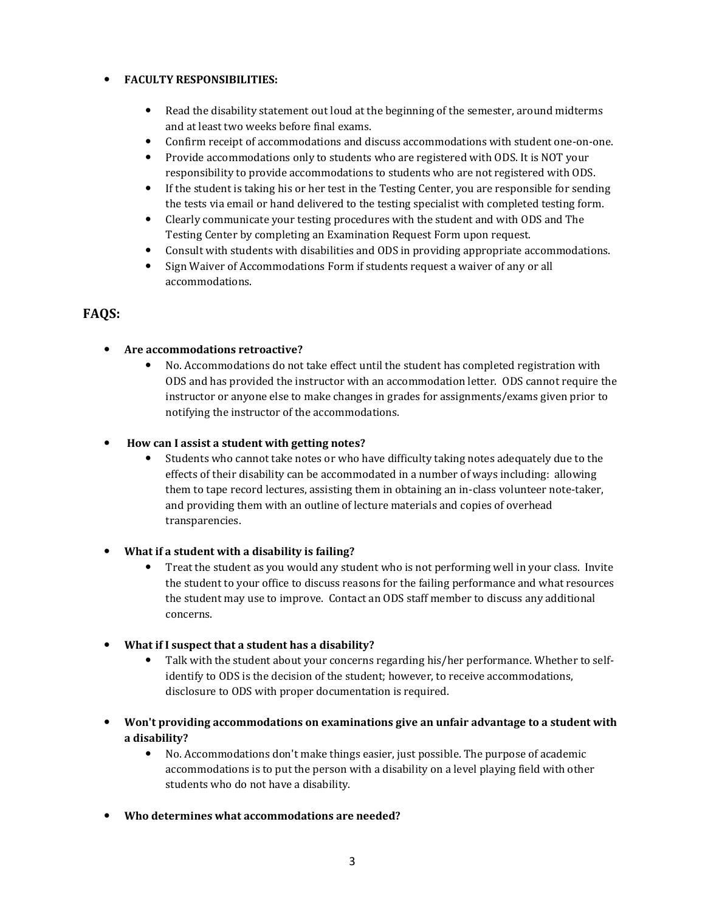### **FACULTY RESPONSIBILITIES:**

- Read the disability statement out loud at the beginning of the semester, around midterms and at least two weeks before final exams.
- Confirm receipt of accommodations and discuss accommodations with student one-on-one.
- Provide accommodations only to students who are registered with ODS. It is NOT your responsibility to provide accommodations to students who are not registered with ODS.
- If the student is taking his or her test in the Testing Center, you are responsible for sending the tests via email or hand delivered to the testing specialist with completed testing form.
- Clearly communicate your testing procedures with the student and with ODS and The Testing Center by completing an Examination Request Form upon request.
- Consult with students with disabilities and ODS in providing appropriate accommodations.
- Sign Waiver of Accommodations Form if students request a waiver of any or all accommodations.

# **FAQS:**

### **Are accommodations retroactive?**

 No. Accommodations do not take effect until the student has completed registration with ODS and has provided the instructor with an accommodation letter. ODS cannot require the instructor or anyone else to make changes in grades for assignments/exams given prior to notifying the instructor of the accommodations.

### **How can I assist a student with getting notes?**

 Students who cannot take notes or who have difficulty taking notes adequately due to the effects of their disability can be accommodated in a number of ways including: allowing them to tape record lectures, assisting them in obtaining an in-class volunteer note-taker, and providing them with an outline of lecture materials and copies of overhead transparencies.

### **What if a student with a disability is failing?**

- Treat the student as you would any student who is not performing well in your class. Invite the student to your office to discuss reasons for the failing performance and what resources the student may use to improve. Contact an ODS staff member to discuss any additional concerns.
- **What if I suspect that a student has a disability?**
	- Talk with the student about your concerns regarding his/her performance. Whether to selfidentify to ODS is the decision of the student; however, to receive accommodations, disclosure to ODS with proper documentation is required.
- **Won't providing accommodations on examinations give an unfair advantage to a student with a disability?**
	- No. Accommodations don't make things easier, just possible. The purpose of academic accommodations is to put the person with a disability on a level playing field with other students who do not have a disability.
- **Who determines what accommodations are needed?**